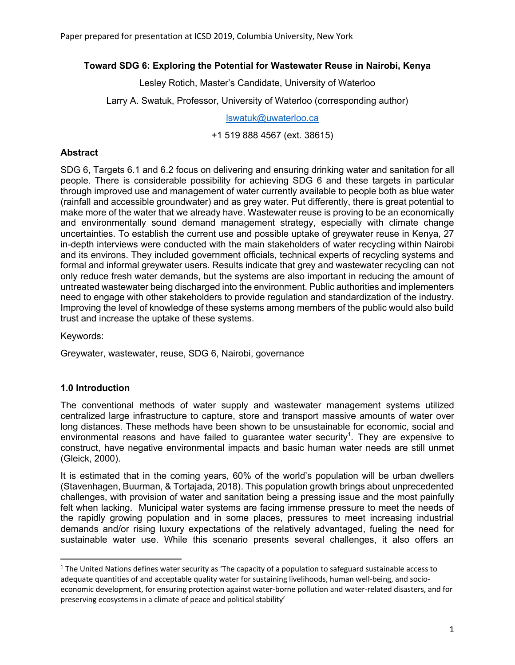### **Toward SDG 6: Exploring the Potential for Wastewater Reuse in Nairobi, Kenya**

Lesley Rotich, Master's Candidate, University of Waterloo

Larry A. Swatuk, Professor, University of Waterloo (corresponding author)

lswatuk@uwaterloo.ca

+1 519 888 4567 (ext. 38615)

### **Abstract**

SDG 6, Targets 6.1 and 6.2 focus on delivering and ensuring drinking water and sanitation for all people. There is considerable possibility for achieving SDG 6 and these targets in particular through improved use and management of water currently available to people both as blue water (rainfall and accessible groundwater) and as grey water. Put differently, there is great potential to make more of the water that we already have. Wastewater reuse is proving to be an economically and environmentally sound demand management strategy, especially with climate change uncertainties. To establish the current use and possible uptake of greywater reuse in Kenya, 27 in-depth interviews were conducted with the main stakeholders of water recycling within Nairobi and its environs. They included government officials, technical experts of recycling systems and formal and informal greywater users. Results indicate that grey and wastewater recycling can not only reduce fresh water demands, but the systems are also important in reducing the amount of untreated wastewater being discharged into the environment. Public authorities and implementers need to engage with other stakeholders to provide regulation and standardization of the industry. Improving the level of knowledge of these systems among members of the public would also build trust and increase the uptake of these systems.

Keywords:

Greywater, wastewater, reuse, SDG 6, Nairobi, governance

### **1.0 Introduction**

The conventional methods of water supply and wastewater management systems utilized centralized large infrastructure to capture, store and transport massive amounts of water over long distances. These methods have been shown to be unsustainable for economic, social and environmental reasons and have failed to guarantee water security<sup>1</sup>. They are expensive to construct, have negative environmental impacts and basic human water needs are still unmet (Gleick, 2000).

It is estimated that in the coming years, 60% of the world's population will be urban dwellers (Stavenhagen, Buurman, & Tortajada, 2018). This population growth brings about unprecedented challenges, with provision of water and sanitation being a pressing issue and the most painfully felt when lacking. Municipal water systems are facing immense pressure to meet the needs of the rapidly growing population and in some places, pressures to meet increasing industrial demands and/or rising luxury expectations of the relatively advantaged, fueling the need for sustainable water use. While this scenario presents several challenges, it also offers an

 $1$  The United Nations defines water security as 'The capacity of a population to safeguard sustainable access to adequate quantities of and acceptable quality water for sustaining livelihoods, human well-being, and socioeconomic development, for ensuring protection against water-borne pollution and water-related disasters, and for preserving ecosystems in a climate of peace and political stability'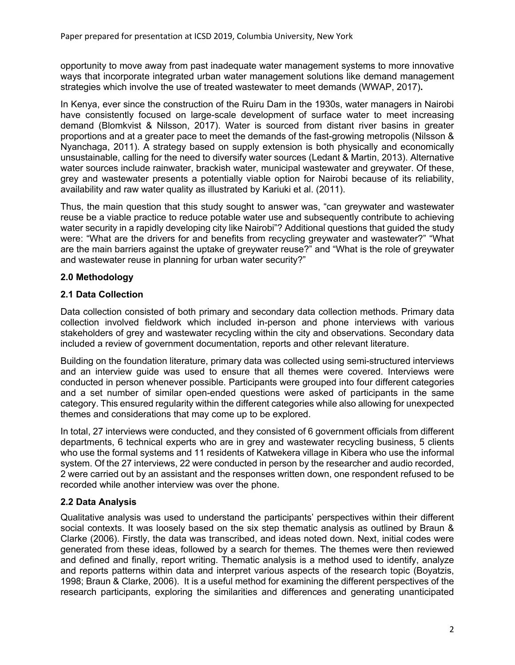opportunity to move away from past inadequate water management systems to more innovative ways that incorporate integrated urban water management solutions like demand management strategies which involve the use of treated wastewater to meet demands (WWAP, 2017)**.** 

In Kenya, ever since the construction of the Ruiru Dam in the 1930s, water managers in Nairobi have consistently focused on large-scale development of surface water to meet increasing demand (Blomkvist & Nilsson, 2017). Water is sourced from distant river basins in greater proportions and at a greater pace to meet the demands of the fast-growing metropolis (Nilsson & Nyanchaga, 2011). A strategy based on supply extension is both physically and economically unsustainable, calling for the need to diversify water sources (Ledant & Martin, 2013). Alternative water sources include rainwater, brackish water, municipal wastewater and greywater. Of these, grey and wastewater presents a potentially viable option for Nairobi because of its reliability, availability and raw water quality as illustrated by Kariuki et al. (2011).

Thus, the main question that this study sought to answer was, "can greywater and wastewater reuse be a viable practice to reduce potable water use and subsequently contribute to achieving water security in a rapidly developing city like Nairobi"? Additional questions that guided the study were: "What are the drivers for and benefits from recycling greywater and wastewater?" "What are the main barriers against the uptake of greywater reuse?" and "What is the role of greywater and wastewater reuse in planning for urban water security?"

# **2.0 Methodology**

### **2.1 Data Collection**

Data collection consisted of both primary and secondary data collection methods. Primary data collection involved fieldwork which included in-person and phone interviews with various stakeholders of grey and wastewater recycling within the city and observations. Secondary data included a review of government documentation, reports and other relevant literature.

Building on the foundation literature, primary data was collected using semi-structured interviews and an interview guide was used to ensure that all themes were covered. Interviews were conducted in person whenever possible. Participants were grouped into four different categories and a set number of similar open-ended questions were asked of participants in the same category. This ensured regularity within the different categories while also allowing for unexpected themes and considerations that may come up to be explored.

In total, 27 interviews were conducted, and they consisted of 6 government officials from different departments, 6 technical experts who are in grey and wastewater recycling business, 5 clients who use the formal systems and 11 residents of Katwekera village in Kibera who use the informal system. Of the 27 interviews, 22 were conducted in person by the researcher and audio recorded, 2 were carried out by an assistant and the responses written down, one respondent refused to be recorded while another interview was over the phone.

### **2.2 Data Analysis**

Qualitative analysis was used to understand the participants' perspectives within their different social contexts. It was loosely based on the six step thematic analysis as outlined by Braun & Clarke (2006). Firstly, the data was transcribed, and ideas noted down. Next, initial codes were generated from these ideas, followed by a search for themes. The themes were then reviewed and defined and finally, report writing. Thematic analysis is a method used to identify, analyze and reports patterns within data and interpret various aspects of the research topic (Boyatzis, 1998; Braun & Clarke, 2006). It is a useful method for examining the different perspectives of the research participants, exploring the similarities and differences and generating unanticipated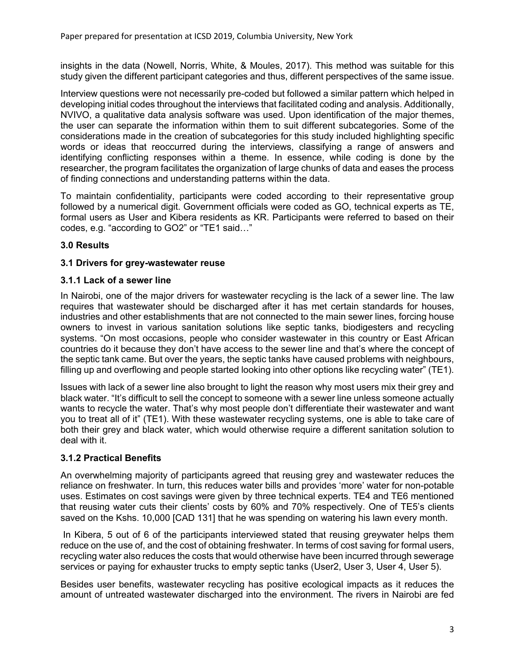insights in the data (Nowell, Norris, White, & Moules, 2017). This method was suitable for this study given the different participant categories and thus, different perspectives of the same issue.

Interview questions were not necessarily pre-coded but followed a similar pattern which helped in developing initial codes throughout the interviews that facilitated coding and analysis. Additionally, NVIVO, a qualitative data analysis software was used. Upon identification of the major themes, the user can separate the information within them to suit different subcategories. Some of the considerations made in the creation of subcategories for this study included highlighting specific words or ideas that reoccurred during the interviews, classifying a range of answers and identifying conflicting responses within a theme. In essence, while coding is done by the researcher, the program facilitates the organization of large chunks of data and eases the process of finding connections and understanding patterns within the data.

To maintain confidentiality, participants were coded according to their representative group followed by a numerical digit. Government officials were coded as GO, technical experts as TE, formal users as User and Kibera residents as KR. Participants were referred to based on their codes, e.g. "according to GO2" or "TE1 said…"

# **3.0 Results**

### **3.1 Drivers for grey-wastewater reuse**

### **3.1.1 Lack of a sewer line**

In Nairobi, one of the major drivers for wastewater recycling is the lack of a sewer line. The law requires that wastewater should be discharged after it has met certain standards for houses, industries and other establishments that are not connected to the main sewer lines, forcing house owners to invest in various sanitation solutions like septic tanks, biodigesters and recycling systems. "On most occasions, people who consider wastewater in this country or East African countries do it because they don't have access to the sewer line and that's where the concept of the septic tank came. But over the years, the septic tanks have caused problems with neighbours, filling up and overflowing and people started looking into other options like recycling water" (TE1).

Issues with lack of a sewer line also brought to light the reason why most users mix their grey and black water. "It's difficult to sell the concept to someone with a sewer line unless someone actually wants to recycle the water. That's why most people don't differentiate their wastewater and want you to treat all of it" (TE1). With these wastewater recycling systems, one is able to take care of both their grey and black water, which would otherwise require a different sanitation solution to deal with it.

# **3.1.2 Practical Benefits**

An overwhelming majority of participants agreed that reusing grey and wastewater reduces the reliance on freshwater. In turn, this reduces water bills and provides 'more' water for non-potable uses. Estimates on cost savings were given by three technical experts. TE4 and TE6 mentioned that reusing water cuts their clients' costs by 60% and 70% respectively. One of TE5's clients saved on the Kshs. 10,000 [CAD 131] that he was spending on watering his lawn every month.

In Kibera, 5 out of 6 of the participants interviewed stated that reusing greywater helps them reduce on the use of, and the cost of obtaining freshwater. In terms of cost saving for formal users, recycling water also reduces the costs that would otherwise have been incurred through sewerage services or paying for exhauster trucks to empty septic tanks (User2, User 3, User 4, User 5).

Besides user benefits, wastewater recycling has positive ecological impacts as it reduces the amount of untreated wastewater discharged into the environment. The rivers in Nairobi are fed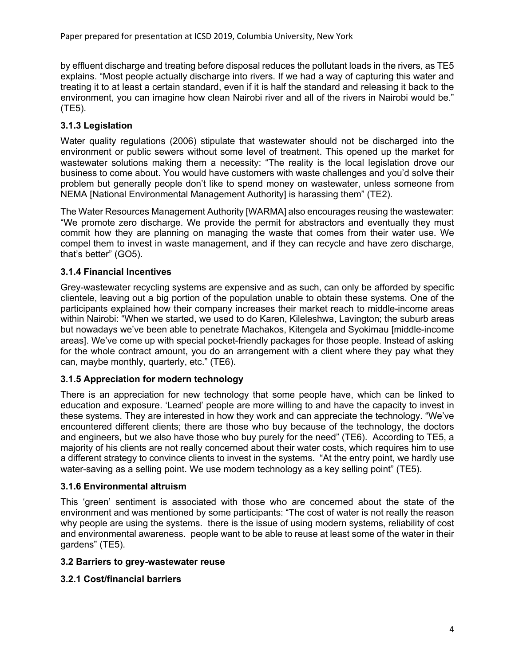by effluent discharge and treating before disposal reduces the pollutant loads in the rivers, as TE5 explains. "Most people actually discharge into rivers. If we had a way of capturing this water and treating it to at least a certain standard, even if it is half the standard and releasing it back to the environment, you can imagine how clean Nairobi river and all of the rivers in Nairobi would be." (TE5).

## **3.1.3 Legislation**

Water quality regulations (2006) stipulate that wastewater should not be discharged into the environment or public sewers without some level of treatment. This opened up the market for wastewater solutions making them a necessity: "The reality is the local legislation drove our business to come about. You would have customers with waste challenges and you'd solve their problem but generally people don't like to spend money on wastewater, unless someone from NEMA [National Environmental Management Authority] is harassing them" (TE2).

The Water Resources Management Authority [WARMA] also encourages reusing the wastewater: "We promote zero discharge. We provide the permit for abstractors and eventually they must commit how they are planning on managing the waste that comes from their water use. We compel them to invest in waste management, and if they can recycle and have zero discharge, that's better" (GO5).

### **3.1.4 Financial Incentives**

Grey-wastewater recycling systems are expensive and as such, can only be afforded by specific clientele, leaving out a big portion of the population unable to obtain these systems. One of the participants explained how their company increases their market reach to middle-income areas within Nairobi: "When we started, we used to do Karen, Kileleshwa, Lavington; the suburb areas but nowadays we've been able to penetrate Machakos, Kitengela and Syokimau [middle-income areas]. We've come up with special pocket-friendly packages for those people. Instead of asking for the whole contract amount, you do an arrangement with a client where they pay what they can, maybe monthly, quarterly, etc." (TE6).

### **3.1.5 Appreciation for modern technology**

There is an appreciation for new technology that some people have, which can be linked to education and exposure. 'Learned' people are more willing to and have the capacity to invest in these systems. They are interested in how they work and can appreciate the technology. "We've encountered different clients; there are those who buy because of the technology, the doctors and engineers, but we also have those who buy purely for the need" (TE6). According to TE5, a majority of his clients are not really concerned about their water costs, which requires him to use a different strategy to convince clients to invest in the systems. "At the entry point, we hardly use water-saving as a selling point. We use modern technology as a key selling point" (TE5).

### **3.1.6 Environmental altruism**

This 'green' sentiment is associated with those who are concerned about the state of the environment and was mentioned by some participants: "The cost of water is not really the reason why people are using the systems. there is the issue of using modern systems, reliability of cost and environmental awareness. people want to be able to reuse at least some of the water in their gardens" (TE5).

### **3.2 Barriers to grey-wastewater reuse**

### **3.2.1 Cost/financial barriers**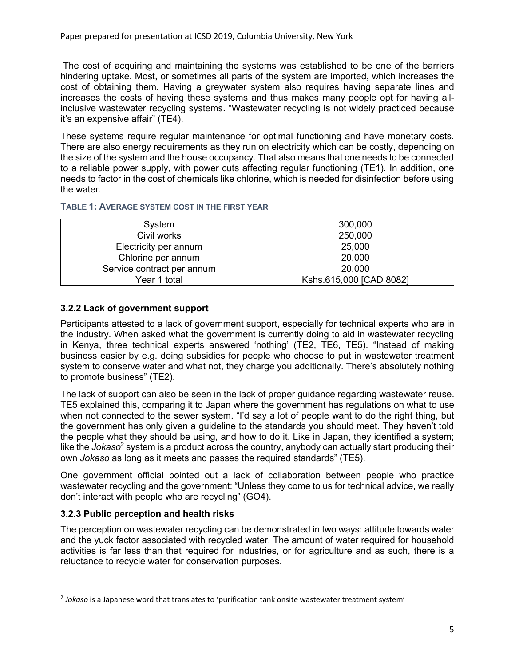The cost of acquiring and maintaining the systems was established to be one of the barriers hindering uptake. Most, or sometimes all parts of the system are imported, which increases the cost of obtaining them. Having a greywater system also requires having separate lines and increases the costs of having these systems and thus makes many people opt for having allinclusive wastewater recycling systems. "Wastewater recycling is not widely practiced because it's an expensive affair" (TE4).

These systems require regular maintenance for optimal functioning and have monetary costs. There are also energy requirements as they run on electricity which can be costly, depending on the size of the system and the house occupancy. That also means that one needs to be connected to a reliable power supply, with power cuts affecting regular functioning (TE1). In addition, one needs to factor in the cost of chemicals like chlorine, which is needed for disinfection before using the water.

#### **TABLE 1: AVERAGE SYSTEM COST IN THE FIRST YEAR**

| System                     | 300,000                 |
|----------------------------|-------------------------|
| Civil works                | 250,000                 |
| Electricity per annum      | 25,000                  |
| Chlorine per annum         | 20,000                  |
| Service contract per annum | 20,000                  |
| Year 1 total               | Kshs.615,000 [CAD 8082] |

### **3.2.2 Lack of government support**

Participants attested to a lack of government support, especially for technical experts who are in the industry. When asked what the government is currently doing to aid in wastewater recycling in Kenya, three technical experts answered 'nothing' (TE2, TE6, TE5). "Instead of making business easier by e.g. doing subsidies for people who choose to put in wastewater treatment system to conserve water and what not, they charge you additionally. There's absolutely nothing to promote business" (TE2).

The lack of support can also be seen in the lack of proper guidance regarding wastewater reuse. TE5 explained this, comparing it to Japan where the government has regulations on what to use when not connected to the sewer system. "I'd say a lot of people want to do the right thing, but the government has only given a guideline to the standards you should meet. They haven't told the people what they should be using, and how to do it. Like in Japan, they identified a system; like the *Jokaso*<sup>2</sup> system is a product across the country, anybody can actually start producing their own *Jokaso* as long as it meets and passes the required standards" (TE5).

One government official pointed out a lack of collaboration between people who practice wastewater recycling and the government: "Unless they come to us for technical advice, we really don't interact with people who are recycling" (GO4).

### **3.2.3 Public perception and health risks**

The perception on wastewater recycling can be demonstrated in two ways: attitude towards water and the yuck factor associated with recycled water. The amount of water required for household activities is far less than that required for industries, or for agriculture and as such, there is a reluctance to recycle water for conservation purposes.

 <sup>2</sup> *Jokaso* is a Japanese word that translates to 'purification tank onsite wastewater treatment system'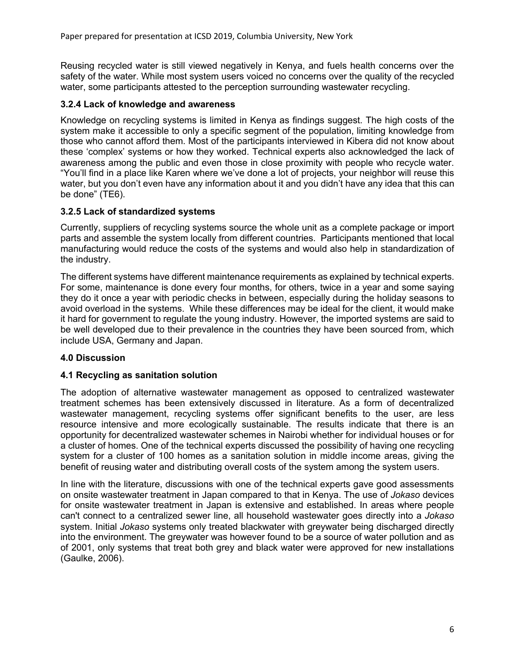Reusing recycled water is still viewed negatively in Kenya, and fuels health concerns over the safety of the water. While most system users voiced no concerns over the quality of the recycled water, some participants attested to the perception surrounding wastewater recycling.

### **3.2.4 Lack of knowledge and awareness**

Knowledge on recycling systems is limited in Kenya as findings suggest. The high costs of the system make it accessible to only a specific segment of the population, limiting knowledge from those who cannot afford them. Most of the participants interviewed in Kibera did not know about these 'complex' systems or how they worked. Technical experts also acknowledged the lack of awareness among the public and even those in close proximity with people who recycle water. "You'll find in a place like Karen where we've done a lot of projects, your neighbor will reuse this water, but you don't even have any information about it and you didn't have any idea that this can be done" (TE6).

### **3.2.5 Lack of standardized systems**

Currently, suppliers of recycling systems source the whole unit as a complete package or import parts and assemble the system locally from different countries. Participants mentioned that local manufacturing would reduce the costs of the systems and would also help in standardization of the industry.

The different systems have different maintenance requirements as explained by technical experts. For some, maintenance is done every four months, for others, twice in a year and some saying they do it once a year with periodic checks in between, especially during the holiday seasons to avoid overload in the systems. While these differences may be ideal for the client, it would make it hard for government to regulate the young industry. However, the imported systems are said to be well developed due to their prevalence in the countries they have been sourced from, which include USA, Germany and Japan.

# **4.0 Discussion**

### **4.1 Recycling as sanitation solution**

The adoption of alternative wastewater management as opposed to centralized wastewater treatment schemes has been extensively discussed in literature. As a form of decentralized wastewater management, recycling systems offer significant benefits to the user, are less resource intensive and more ecologically sustainable. The results indicate that there is an opportunity for decentralized wastewater schemes in Nairobi whether for individual houses or for a cluster of homes. One of the technical experts discussed the possibility of having one recycling system for a cluster of 100 homes as a sanitation solution in middle income areas, giving the benefit of reusing water and distributing overall costs of the system among the system users.

In line with the literature, discussions with one of the technical experts gave good assessments on onsite wastewater treatment in Japan compared to that in Kenya. The use of *Jokaso* devices for onsite wastewater treatment in Japan is extensive and established. In areas where people can't connect to a centralized sewer line, all household wastewater goes directly into a *Jokaso* system. Initial *Jokaso* systems only treated blackwater with greywater being discharged directly into the environment. The greywater was however found to be a source of water pollution and as of 2001, only systems that treat both grey and black water were approved for new installations (Gaulke, 2006).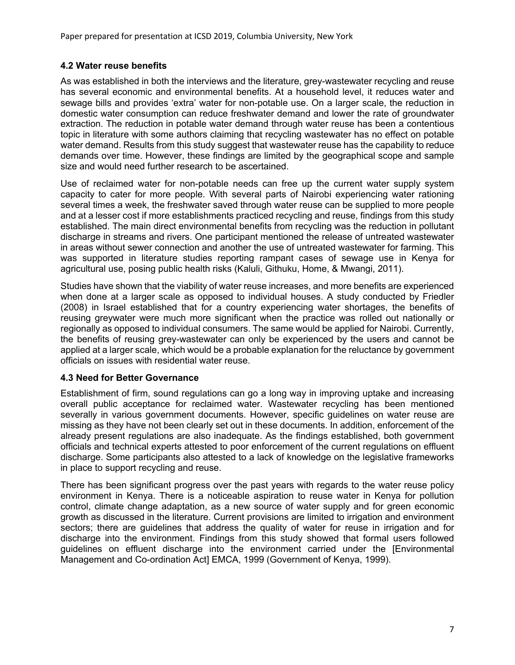### **4.2 Water reuse benefits**

As was established in both the interviews and the literature, grey-wastewater recycling and reuse has several economic and environmental benefits. At a household level, it reduces water and sewage bills and provides 'extra' water for non-potable use. On a larger scale, the reduction in domestic water consumption can reduce freshwater demand and lower the rate of groundwater extraction. The reduction in potable water demand through water reuse has been a contentious topic in literature with some authors claiming that recycling wastewater has no effect on potable water demand. Results from this study suggest that wastewater reuse has the capability to reduce demands over time. However, these findings are limited by the geographical scope and sample size and would need further research to be ascertained.

Use of reclaimed water for non-potable needs can free up the current water supply system capacity to cater for more people. With several parts of Nairobi experiencing water rationing several times a week, the freshwater saved through water reuse can be supplied to more people and at a lesser cost if more establishments practiced recycling and reuse, findings from this study established. The main direct environmental benefits from recycling was the reduction in pollutant discharge in streams and rivers. One participant mentioned the release of untreated wastewater in areas without sewer connection and another the use of untreated wastewater for farming. This was supported in literature studies reporting rampant cases of sewage use in Kenya for agricultural use, posing public health risks (Kaluli, Githuku, Home, & Mwangi, 2011).

Studies have shown that the viability of water reuse increases, and more benefits are experienced when done at a larger scale as opposed to individual houses. A study conducted by Friedler (2008) in Israel established that for a country experiencing water shortages, the benefits of reusing greywater were much more significant when the practice was rolled out nationally or regionally as opposed to individual consumers. The same would be applied for Nairobi. Currently, the benefits of reusing grey-wastewater can only be experienced by the users and cannot be applied at a larger scale, which would be a probable explanation for the reluctance by government officials on issues with residential water reuse.

### **4.3 Need for Better Governance**

Establishment of firm, sound regulations can go a long way in improving uptake and increasing overall public acceptance for reclaimed water. Wastewater recycling has been mentioned severally in various government documents. However, specific guidelines on water reuse are missing as they have not been clearly set out in these documents. In addition, enforcement of the already present regulations are also inadequate. As the findings established, both government officials and technical experts attested to poor enforcement of the current regulations on effluent discharge. Some participants also attested to a lack of knowledge on the legislative frameworks in place to support recycling and reuse.

There has been significant progress over the past years with regards to the water reuse policy environment in Kenya. There is a noticeable aspiration to reuse water in Kenya for pollution control, climate change adaptation, as a new source of water supply and for green economic growth as discussed in the literature. Current provisions are limited to irrigation and environment sectors; there are guidelines that address the quality of water for reuse in irrigation and for discharge into the environment. Findings from this study showed that formal users followed guidelines on effluent discharge into the environment carried under the [Environmental Management and Co-ordination Act] EMCA, 1999 (Government of Kenya, 1999).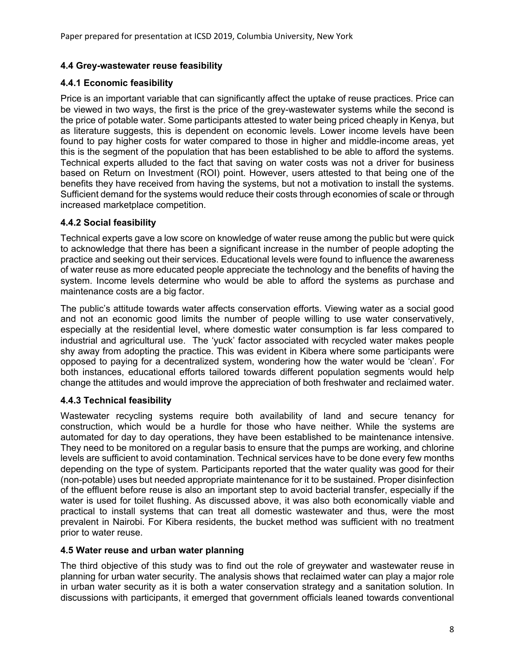## **4.4 Grey-wastewater reuse feasibility**

### **4.4.1 Economic feasibility**

Price is an important variable that can significantly affect the uptake of reuse practices. Price can be viewed in two ways, the first is the price of the grey-wastewater systems while the second is the price of potable water. Some participants attested to water being priced cheaply in Kenya, but as literature suggests, this is dependent on economic levels. Lower income levels have been found to pay higher costs for water compared to those in higher and middle-income areas, yet this is the segment of the population that has been established to be able to afford the systems. Technical experts alluded to the fact that saving on water costs was not a driver for business based on Return on Investment (ROI) point. However, users attested to that being one of the benefits they have received from having the systems, but not a motivation to install the systems. Sufficient demand for the systems would reduce their costs through economies of scale or through increased marketplace competition.

### **4.4.2 Social feasibility**

Technical experts gave a low score on knowledge of water reuse among the public but were quick to acknowledge that there has been a significant increase in the number of people adopting the practice and seeking out their services. Educational levels were found to influence the awareness of water reuse as more educated people appreciate the technology and the benefits of having the system. Income levels determine who would be able to afford the systems as purchase and maintenance costs are a big factor.

The public's attitude towards water affects conservation efforts. Viewing water as a social good and not an economic good limits the number of people willing to use water conservatively, especially at the residential level, where domestic water consumption is far less compared to industrial and agricultural use. The 'yuck' factor associated with recycled water makes people shy away from adopting the practice. This was evident in Kibera where some participants were opposed to paying for a decentralized system, wondering how the water would be 'clean'. For both instances, educational efforts tailored towards different population segments would help change the attitudes and would improve the appreciation of both freshwater and reclaimed water.

# **4.4.3 Technical feasibility**

Wastewater recycling systems require both availability of land and secure tenancy for construction, which would be a hurdle for those who have neither. While the systems are automated for day to day operations, they have been established to be maintenance intensive. They need to be monitored on a regular basis to ensure that the pumps are working, and chlorine levels are sufficient to avoid contamination. Technical services have to be done every few months depending on the type of system. Participants reported that the water quality was good for their (non-potable) uses but needed appropriate maintenance for it to be sustained. Proper disinfection of the effluent before reuse is also an important step to avoid bacterial transfer, especially if the water is used for toilet flushing. As discussed above, it was also both economically viable and practical to install systems that can treat all domestic wastewater and thus, were the most prevalent in Nairobi. For Kibera residents, the bucket method was sufficient with no treatment prior to water reuse.

### **4.5 Water reuse and urban water planning**

The third objective of this study was to find out the role of greywater and wastewater reuse in planning for urban water security. The analysis shows that reclaimed water can play a major role in urban water security as it is both a water conservation strategy and a sanitation solution. In discussions with participants, it emerged that government officials leaned towards conventional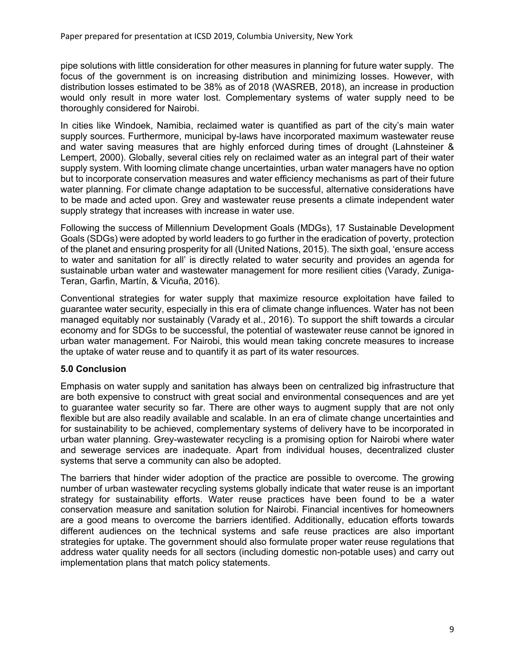pipe solutions with little consideration for other measures in planning for future water supply. The focus of the government is on increasing distribution and minimizing losses. However, with distribution losses estimated to be 38% as of 2018 (WASREB, 2018), an increase in production would only result in more water lost. Complementary systems of water supply need to be thoroughly considered for Nairobi.

In cities like Windoek, Namibia, reclaimed water is quantified as part of the city's main water supply sources. Furthermore, municipal by-laws have incorporated maximum wastewater reuse and water saving measures that are highly enforced during times of drought (Lahnsteiner & Lempert, 2000). Globally, several cities rely on reclaimed water as an integral part of their water supply system. With looming climate change uncertainties, urban water managers have no option but to incorporate conservation measures and water efficiency mechanisms as part of their future water planning. For climate change adaptation to be successful, alternative considerations have to be made and acted upon. Grey and wastewater reuse presents a climate independent water supply strategy that increases with increase in water use.

Following the success of Millennium Development Goals (MDGs), 17 Sustainable Development Goals (SDGs) were adopted by world leaders to go further in the eradication of poverty, protection of the planet and ensuring prosperity for all (United Nations, 2015). The sixth goal, 'ensure access to water and sanitation for all' is directly related to water security and provides an agenda for sustainable urban water and wastewater management for more resilient cities (Varady, Zuniga-Teran, Garfin, Martín, & Vicuña, 2016).

Conventional strategies for water supply that maximize resource exploitation have failed to guarantee water security, especially in this era of climate change influences. Water has not been managed equitably nor sustainably (Varady et al., 2016). To support the shift towards a circular economy and for SDGs to be successful, the potential of wastewater reuse cannot be ignored in urban water management. For Nairobi, this would mean taking concrete measures to increase the uptake of water reuse and to quantify it as part of its water resources.

### **5.0 Conclusion**

Emphasis on water supply and sanitation has always been on centralized big infrastructure that are both expensive to construct with great social and environmental consequences and are yet to guarantee water security so far. There are other ways to augment supply that are not only flexible but are also readily available and scalable. In an era of climate change uncertainties and for sustainability to be achieved, complementary systems of delivery have to be incorporated in urban water planning. Grey-wastewater recycling is a promising option for Nairobi where water and sewerage services are inadequate. Apart from individual houses, decentralized cluster systems that serve a community can also be adopted.

The barriers that hinder wider adoption of the practice are possible to overcome. The growing number of urban wastewater recycling systems globally indicate that water reuse is an important strategy for sustainability efforts. Water reuse practices have been found to be a water conservation measure and sanitation solution for Nairobi. Financial incentives for homeowners are a good means to overcome the barriers identified. Additionally, education efforts towards different audiences on the technical systems and safe reuse practices are also important strategies for uptake. The government should also formulate proper water reuse regulations that address water quality needs for all sectors (including domestic non-potable uses) and carry out implementation plans that match policy statements.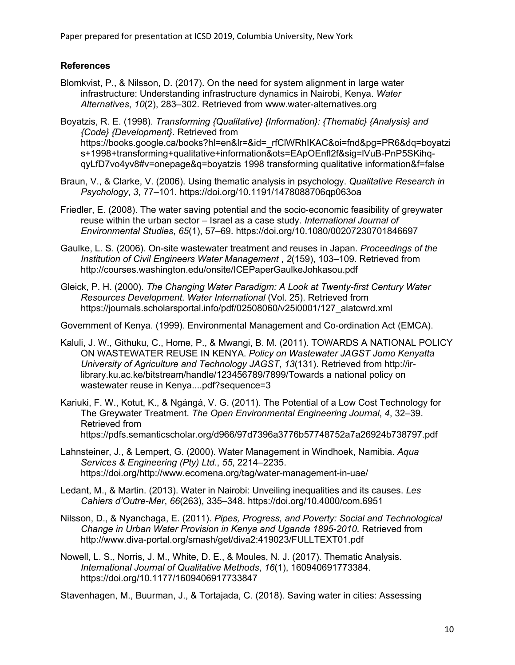### **References**

- Blomkvist, P., & Nilsson, D. (2017). On the need for system alignment in large water infrastructure: Understanding infrastructure dynamics in Nairobi, Kenya. *Water Alternatives*, *10*(2), 283–302. Retrieved from www.water-alternatives.org
- Boyatzis, R. E. (1998). *Transforming {Qualitative} {Information}: {Thematic} {Analysis} and {Code} {Development}*. Retrieved from https://books.google.ca/books?hl=en&lr=&id=\_rfClWRhIKAC&oi=fnd&pg=PR6&dq=boyatzi s+1998+transforming+qualitative+information&ots=EApOEnfl2f&sig=lVuB-PnP5SKihqqyLfD7vo4yv8#v=onepage&q=boyatzis 1998 transforming qualitative information&f=false
- Braun, V., & Clarke, V. (2006). Using thematic analysis in psychology. *Qualitative Research in Psychology*, *3*, 77–101. https://doi.org/10.1191/1478088706qp063oa
- Friedler, E. (2008). The water saving potential and the socio-economic feasibility of greywater reuse within the urban sector – Israel as a case study. *International Journal of Environmental Studies*, *65*(1), 57–69. https://doi.org/10.1080/00207230701846697
- Gaulke, L. S. (2006). On-site wastewater treatment and reuses in Japan. *Proceedings of the Institution of Civil Engineers Water Management* , *2*(159), 103–109. Retrieved from http://courses.washington.edu/onsite/ICEPaperGaulkeJohkasou.pdf
- Gleick, P. H. (2000). *The Changing Water Paradigm: A Look at Twenty-first Century Water Resources Development*. *Water International* (Vol. 25). Retrieved from https://journals.scholarsportal.info/pdf/02508060/v25i0001/127\_alatcwrd.xml

Government of Kenya. (1999). Environmental Management and Co-ordination Act (EMCA).

- Kaluli, J. W., Githuku, C., Home, P., & Mwangi, B. M. (2011). TOWARDS A NATIONAL POLICY ON WASTEWATER REUSE IN KENYA. *Policy on Wastewater JAGST Jomo Kenyatta University of Agriculture and Technology JAGST*, *13*(131). Retrieved from http://irlibrary.ku.ac.ke/bitstream/handle/123456789/7899/Towards a national policy on wastewater reuse in Kenya....pdf?sequence=3
- Kariuki, F. W., Kotut, K., & Ngángá, V. G. (2011). The Potential of a Low Cost Technology for The Greywater Treatment. *The Open Environmental Engineering Journal*, *4*, 32–39. Retrieved from https://pdfs.semanticscholar.org/d966/97d7396a3776b57748752a7a26924b738797.pdf
- Lahnsteiner, J., & Lempert, G. (2000). Water Management in Windhoek, Namibia. *Aqua Services & Engineering (Pty) Ltd.*, *55*, 2214–2235. https://doi.org/http://www.ecomena.org/tag/water-management-in-uae/
- Ledant, M., & Martin. (2013). Water in Nairobi: Unveiling inequalities and its causes. *Les Cahiers d'Outre-Mer*, *66*(263), 335–348. https://doi.org/10.4000/com.6951
- Nilsson, D., & Nyanchaga, E. (2011). *Pipes, Progress, and Poverty: Social and Technological Change in Urban Water Provision in Kenya and Uganda 1895-2010*. Retrieved from http://www.diva-portal.org/smash/get/diva2:419023/FULLTEXT01.pdf
- Nowell, L. S., Norris, J. M., White, D. E., & Moules, N. J. (2017). Thematic Analysis. *International Journal of Qualitative Methods*, *16*(1), 160940691773384. https://doi.org/10.1177/1609406917733847

Stavenhagen, M., Buurman, J., & Tortajada, C. (2018). Saving water in cities: Assessing